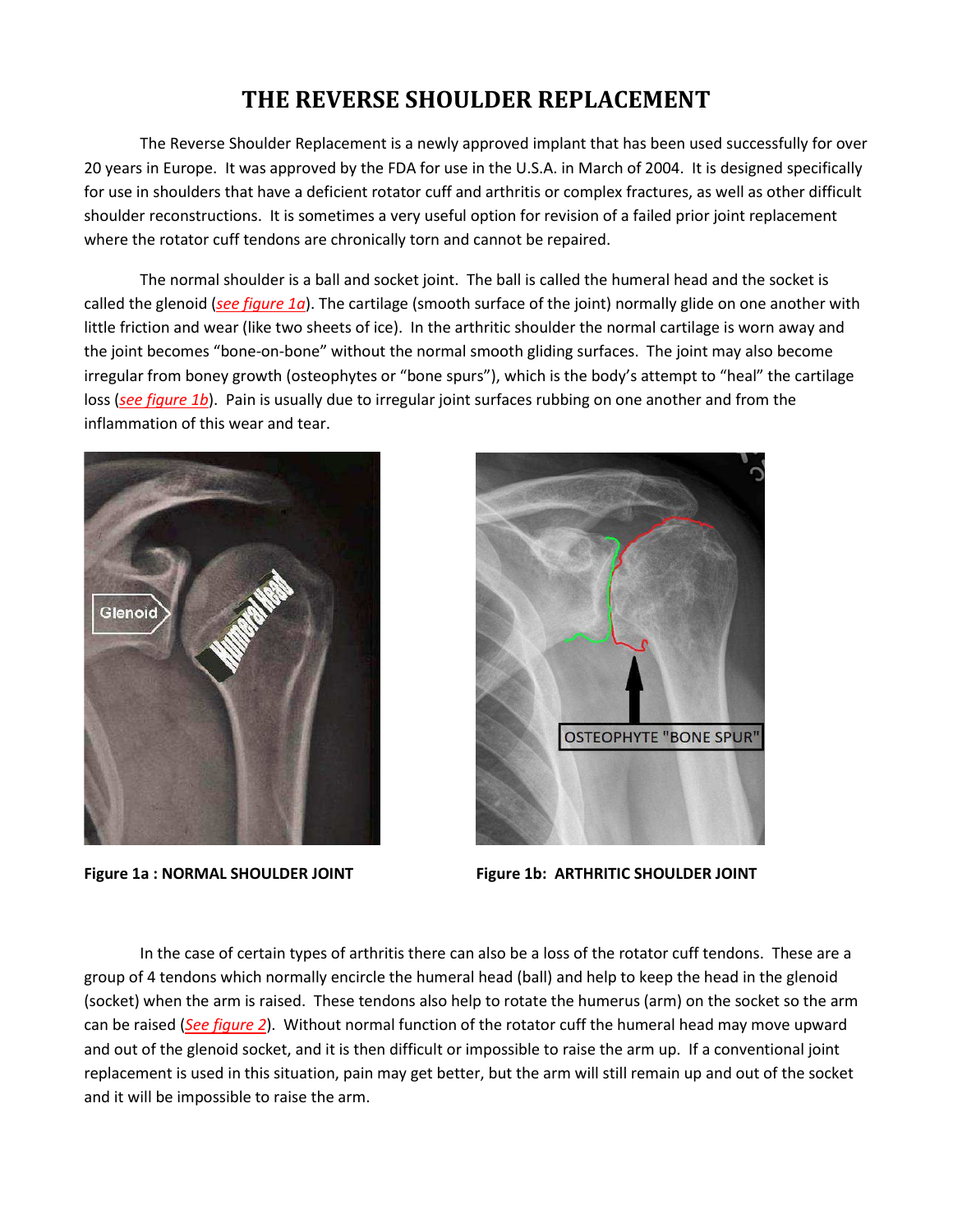## THE REVERSE SHOULDER REPLACEMENT

The Reverse Shoulder Replacement is a newly approved implant that has been used successfully for over 20 years in Europe. It was approved by the FDA for use in the U.S.A. in March of 2004. It is designed specifically for use in shoulders that have a deficient rotator cuff and arthritis or complex fractures, as well as other difficult shoulder reconstructions. It is sometimes a very useful option for revision of a failed prior joint replacement where the rotator cuff tendons are chronically torn and cannot be repaired.

The normal shoulder is a ball and socket joint. The ball is called the humeral head and the socket is called the glenoid (see figure 1a). The cartilage (smooth surface of the joint) normally glide on one another with little friction and wear (like two sheets of ice). In the arthritic shoulder the normal cartilage is worn away and the joint becomes "bone-on-bone" without the normal smooth gliding surfaces. The joint may also become irregular from boney growth (osteophytes or "bone spurs"), which is the body's attempt to "heal" the cartilage loss (see figure 1b). Pain is usually due to irregular joint surfaces rubbing on one another and from the inflammation of this wear and tear.



Figure 1a: NORMAL SHOULDER JOINT



Figure 1b: ARTHRITIC SHOULDER JOINT

In the case of certain types of arthritis there can also be a loss of the rotator cuff tendons. These are a group of 4 tendons which normally encircle the humeral head (ball) and help to keep the head in the glenoid (socket) when the arm is raised. These tendons also help to rotate the humerus (arm) on the socket so the arm can be raised (See figure 2). Without normal function of the rotator cuff the humeral head may move upward and out of the glenoid socket, and it is then difficult or impossible to raise the arm up. If a conventional joint replacement is used in this situation, pain may get better, but the arm will still remain up and out of the socket and it will be impossible to raise the arm.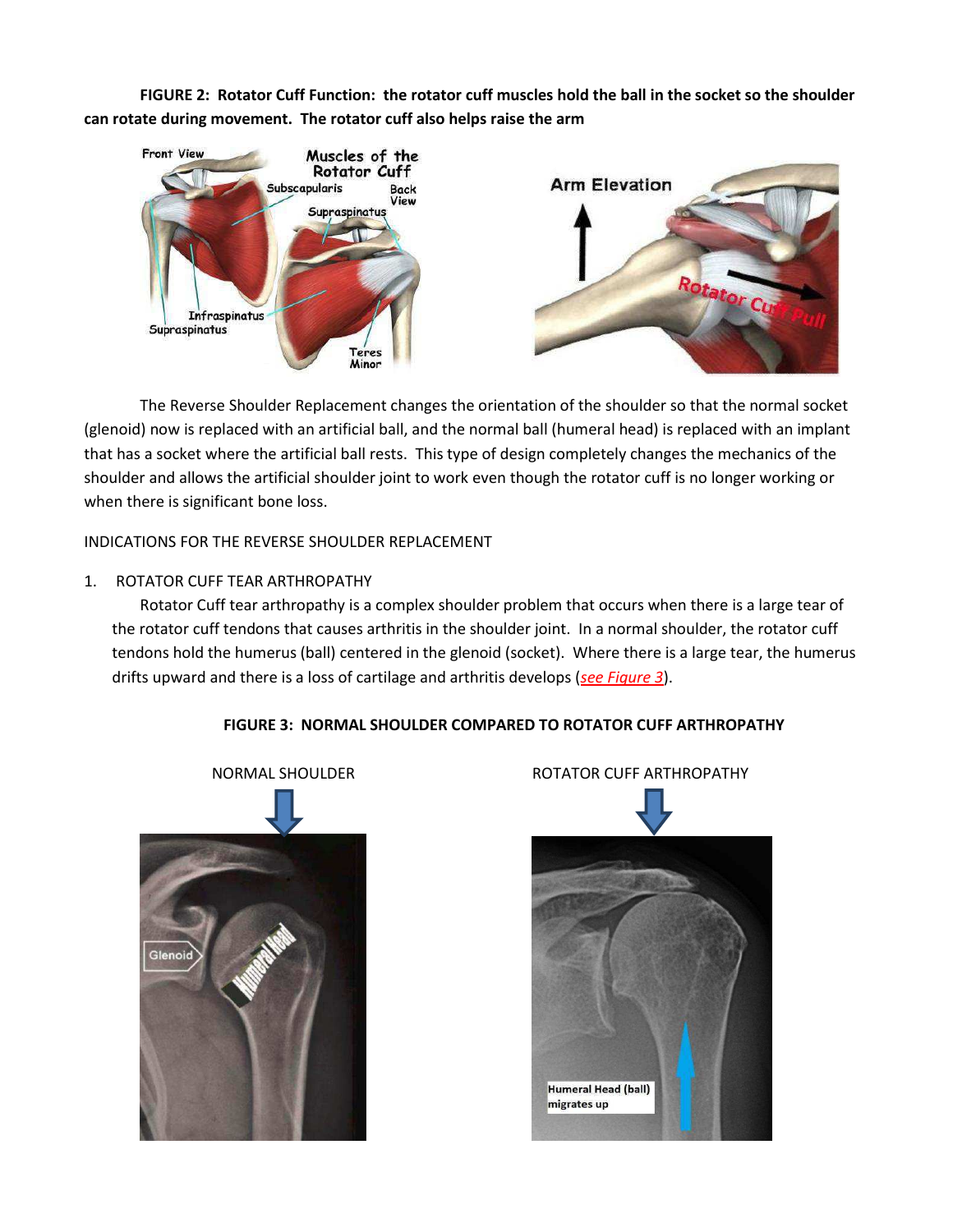**FIGURE 2: Rotator Cuff Function: the rotator cuff muscles hold the ball in the socket so the shoulder can rotate during movement. The rotator cuff also helps raise the arm** 



 The Reverse Shoulder Replacement changes the orientation of the shoulder so that the normal socket (glenoid) now is replaced with an artificial ball, and the normal ball (humeral head) is replaced with an implant that has a socket where the artificial ball rests. This type of design completely changes the mechanics of the shoulder and allows the artificial shoulder joint to work even though the rotator cuff is no longer working or when there is significant bone loss.

INDICATIONS FOR THE REVERSE SHOULDER REPLACEMENT

### 1. ROTATOR CUFF TEAR ARTHROPATHY

Rotator Cuff tear arthropathy is a complex shoulder problem that occurs when there is a large tear of the rotator cuff tendons that causes arthritis in the shoulder joint. In a normal shoulder, the rotator cuff tendons hold the humerus (ball) centered in the glenoid (socket). Where there is a large tear, the humerus drifts upward and there is a loss of cartilage and arthritis develops (*see Figure 3*).



### **FIGURE 3: NORMAL SHOULDER COMPARED TO ROTATOR CUFF ARTHROPATHY**

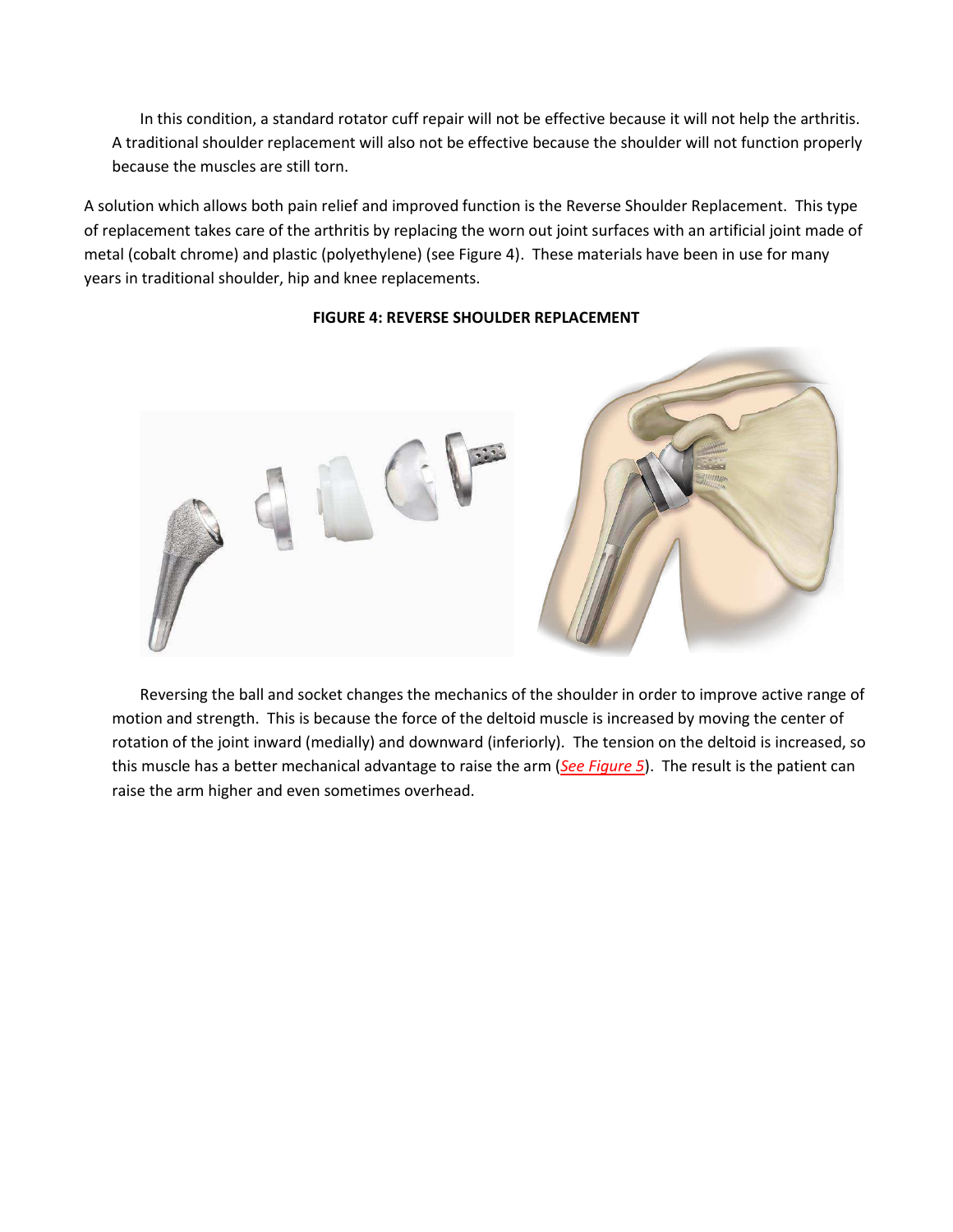In this condition, a standard rotator cuff repair will not be effective because it will not help the arthritis. A traditional shoulder replacement will also not be effective because the shoulder will not function properly because the muscles are still torn.

A solution which allows both pain relief and improved function is the Reverse Shoulder Replacement. This type of replacement takes care of the arthritis by replacing the worn out joint surfaces with an artificial joint made of metal (cobalt chrome) and plastic (polyethylene) (see Figure 4). These materials have been in use for many years in traditional shoulder, hip and knee replacements.



### **FIGURE 4: REVERSE SHOULDER REPLACEMENT**

Reversing the ball and socket changes the mechanics of the shoulder in order to improve active range of motion and strength. This is because the force of the deltoid muscle is increased by moving the center of rotation of the joint inward (medially) and downward (inferiorly). The tension on the deltoid is increased, so this muscle has a better mechanical advantage to raise the arm (*See Figure 5*). The result is the patient can raise the arm higher and even sometimes overhead.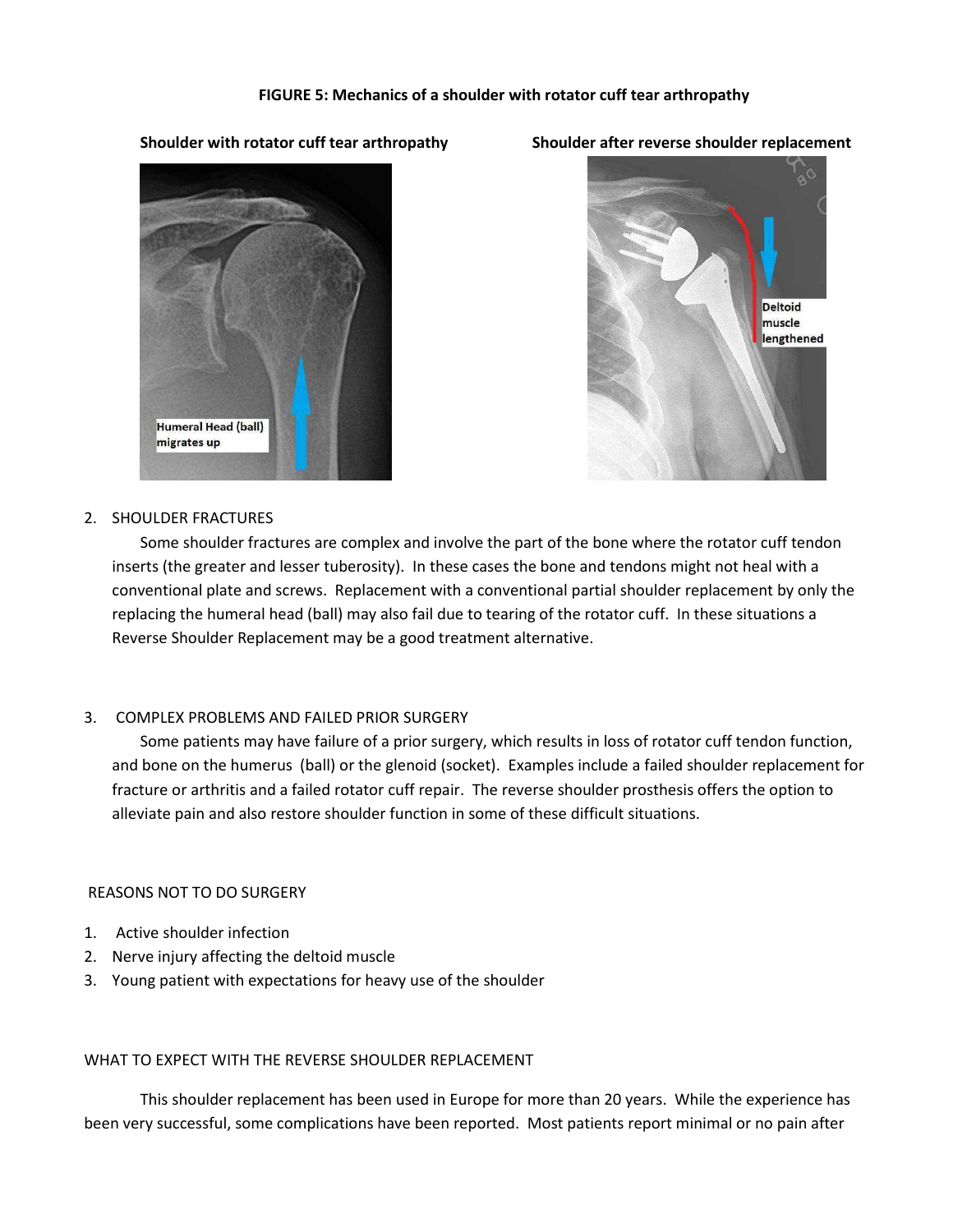### **FIGURE 5: Mechanics of a shoulder with rotator cuff tear arthropathy**

### **Shoulder with rotator cuff tear arthropathy Shoulder after reverse shoulder replacement**



# Deltoid muscle lengthened

### 2. SHOULDER FRACTURES

Some shoulder fractures are complex and involve the part of the bone where the rotator cuff tendon inserts (the greater and lesser tuberosity). In these cases the bone and tendons might not heal with a conventional plate and screws. Replacement with a conventional partial shoulder replacement by only the replacing the humeral head (ball) may also fail due to tearing of the rotator cuff. In these situations a Reverse Shoulder Replacement may be a good treatment alternative.

### 3. COMPLEX PROBLEMS AND FAILED PRIOR SURGERY

Some patients may have failure of a prior surgery, which results in loss of rotator cuff tendon function, and bone on the humerus (ball) or the glenoid (socket). Examples include a failed shoulder replacement for fracture or arthritis and a failed rotator cuff repair. The reverse shoulder prosthesis offers the option to alleviate pain and also restore shoulder function in some of these difficult situations.

### REASONS NOT TO DO SURGERY

- 1. Active shoulder infection
- 2. Nerve injury affecting the deltoid muscle
- 3. Young patient with expectations for heavy use of the shoulder

### WHAT TO EXPECT WITH THE REVERSE SHOULDER REPLACEMENT

 This shoulder replacement has been used in Europe for more than 20 years. While the experience has been very successful, some complications have been reported. Most patients report minimal or no pain after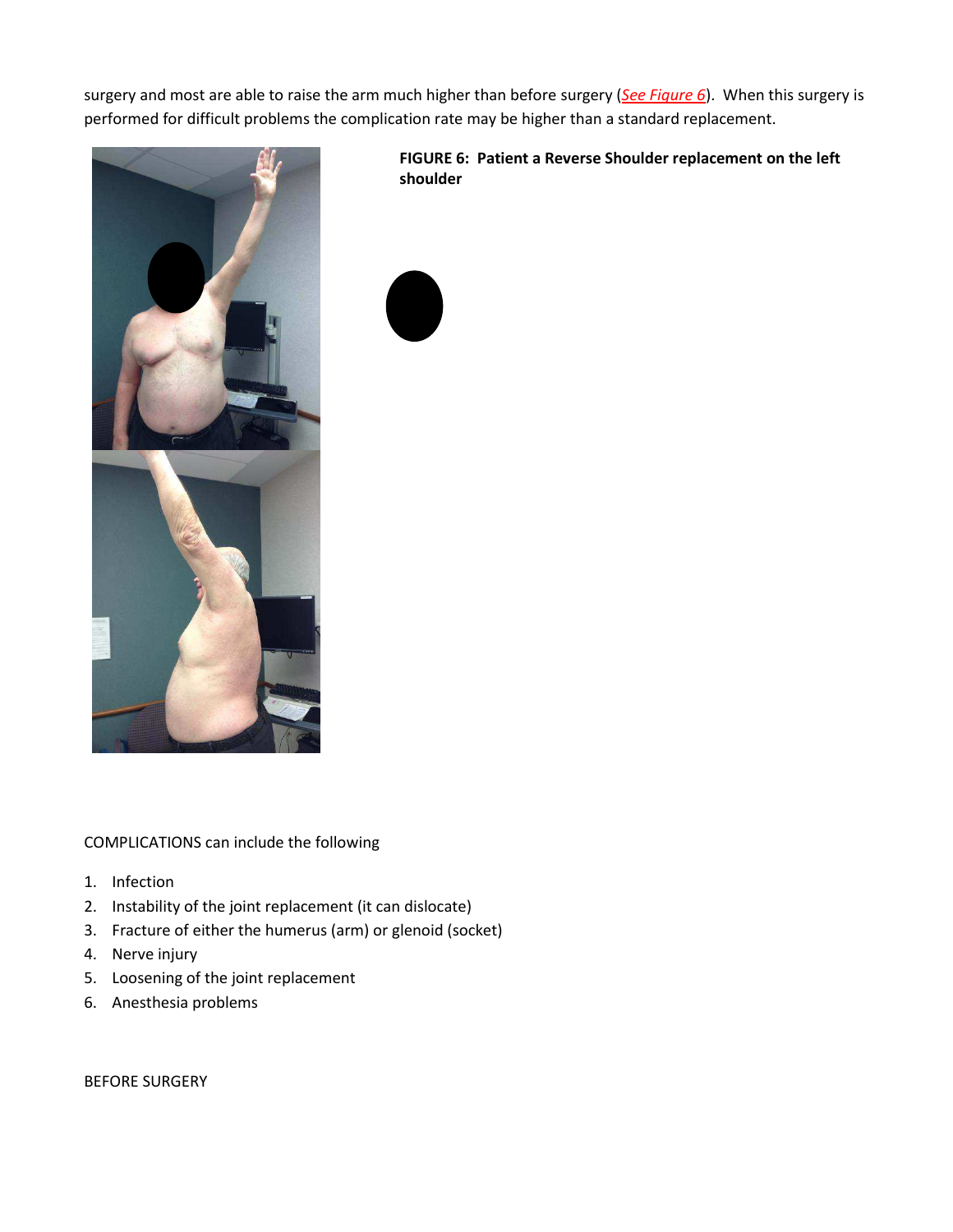surgery and most are able to raise the arm much higher than before surgery (*See Figure 6*). When this surgery is performed for difficult problems the complication rate may be higher than a standard replacement.



**FIGURE 6: Patient a Reverse Shoulder replacement on the left shoulder** 

COMPLICATIONS can include the following

- 1. Infection
- 2. Instability of the joint replacement (it can dislocate)
- 3. Fracture of either the humerus (arm) or glenoid (socket)
- 4. Nerve injury
- 5. Loosening of the joint replacement
- 6. Anesthesia problems

BEFORE SURGERY